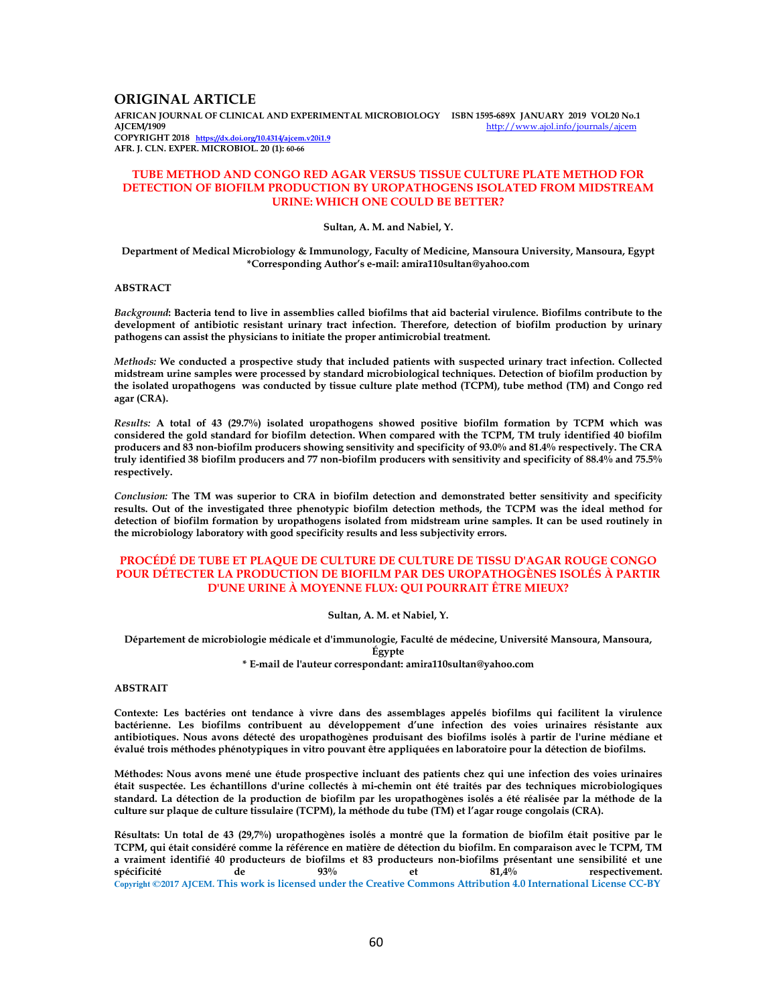## **ORIGINAL ARTICLE**

**AFRICAN JOURNAL OF CLINICAL AND EXPERIMENTAL MICROBIOLOGY ISBN 1595-689X JANUARY 2019 VOL20 No.1**  http://www.ajol.info/journals/ajcem **COPYRIGHT 2018 https://dx.doi.org/10.4314/ajcem.v20i1.9 AFR. J. CLN. EXPER. MICROBIOL. 20 (1): 60-66**

## **TUBE METHOD AND CONGO RED AGAR VERSUS TISSUE CULTURE PLATE METHOD FOR DETECTION OF BIOFILM PRODUCTION BY UROPATHOGENS ISOLATED FROM MIDSTREAM URINE: WHICH ONE COULD BE BETTER?**

#### **Sultan, A. M. and Nabiel, Y.**

**Department of Medical Microbiology & Immunology, Faculty of Medicine, Mansoura University, Mansoura, Egypt \*Corresponding Author's e-mail: amira110sultan@yahoo.com** 

#### **ABSTRACT**

*Background***: Bacteria tend to live in assemblies called biofilms that aid bacterial virulence. Biofilms contribute to the development of antibiotic resistant urinary tract infection. Therefore, detection of biofilm production by urinary pathogens can assist the physicians to initiate the proper antimicrobial treatment.** 

*Methods:* **We conducted a prospective study that included patients with suspected urinary tract infection. Collected midstream urine samples were processed by standard microbiological techniques. Detection of biofilm production by the isolated uropathogens was conducted by tissue culture plate method (TCPM), tube method (TM) and Congo red agar (CRA).** 

*Results:* **A total of 43 (29.7%) isolated uropathogens showed positive biofilm formation by TCPM which was considered the gold standard for biofilm detection. When compared with the TCPM, TM truly identified 40 biofilm producers and 83 non-biofilm producers showing sensitivity and specificity of 93.0% and 81.4% respectively. The CRA truly identified 38 biofilm producers and 77 non-biofilm producers with sensitivity and specificity of 88.4% and 75.5% respectively.** 

*Conclusion:* **The TM was superior to CRA in biofilm detection and demonstrated better sensitivity and specificity results. Out of the investigated three phenotypic biofilm detection methods, the TCPM was the ideal method for detection of biofilm formation by uropathogens isolated from midstream urine samples. It can be used routinely in the microbiology laboratory with good specificity results and less subjectivity errors.** 

## **PROCÉDÉ DE TUBE ET PLAQUE DE CULTURE DE CULTURE DE TISSU D'AGAR ROUGE CONGO POUR DÉTECTER LA PRODUCTION DE BIOFILM PAR DES UROPATHOGÈNES ISOLÉS À PARTIR D'UNE URINE À MOYENNE FLUX: QUI POURRAIT ÊTRE MIEUX?**

#### **Sultan, A. M. et Nabiel, Y.**

**Département de microbiologie médicale et d'immunologie, Faculté de médecine, Université Mansoura, Mansoura, Égypte** 

**\* E-mail de l'auteur correspondant: amira110sultan@yahoo.com** 

#### **ABSTRAIT**

**Contexte: Les bactéries ont tendance à vivre dans des assemblages appelés biofilms qui facilitent la virulence bactérienne. Les biofilms contribuent au développement d'une infection des voies urinaires résistante aux antibiotiques. Nous avons détecté des uropathogènes produisant des biofilms isolés à partir de l'urine médiane et évalué trois méthodes phénotypiques in vitro pouvant être appliquées en laboratoire pour la détection de biofilms.** 

**Méthodes: Nous avons mené une étude prospective incluant des patients chez qui une infection des voies urinaires était suspectée. Les échantillons d'urine collectés à mi-chemin ont été traités par des techniques microbiologiques standard. La détection de la production de biofilm par les uropathogènes isolés a été réalisée par la méthode de la culture sur plaque de culture tissulaire (TCPM), la méthode du tube (TM) et l'agar rouge congolais (CRA).** 

**Résultats: Un total de 43 (29,7%) uropathogènes isolés a montré que la formation de biofilm était positive par le TCPM, qui était considéré comme la référence en matière de détection du biofilm. En comparaison avec le TCPM, TM a vraiment identifié 40 producteurs de biofilms et 83 producteurs non-biofilms présentant une sensibilité et une**  de  $93\%$  et  $81,4\%$  respectivement. **Copyright ©2017 AJCEM. This work is licensed under the Creative Commons Attribution 4.0 International License CC-BY**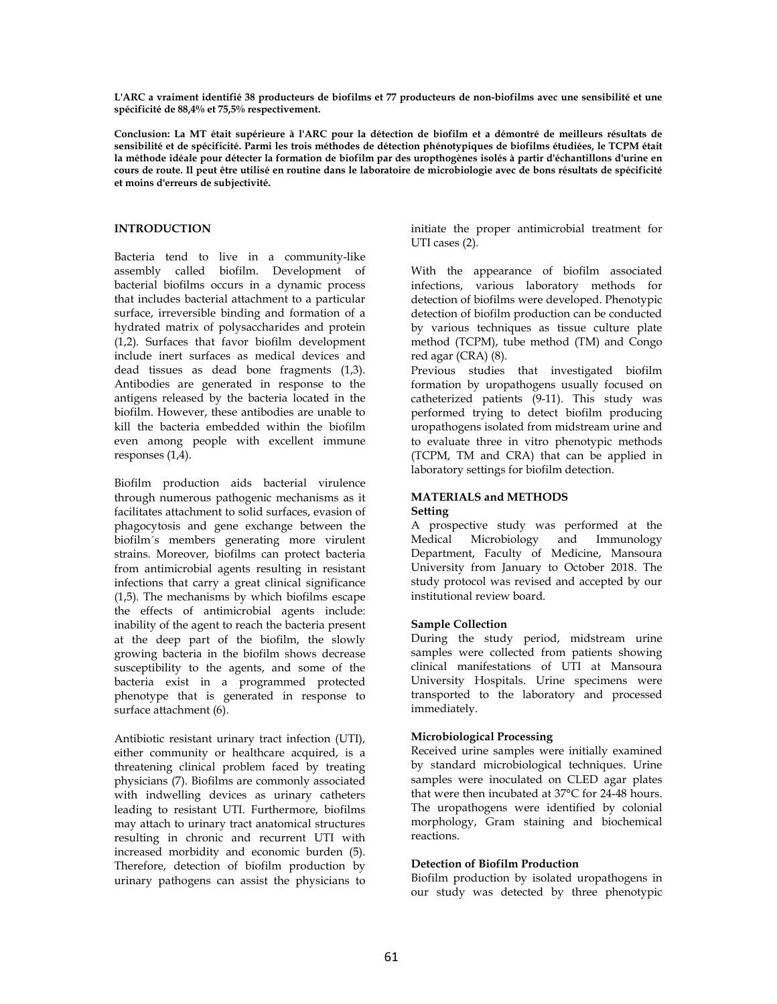**L'ARC a vraiment identifié 38 producteurs de biofilms et 77 producteurs de non-biofilms avec une sensibilité et une spécificité de 88,4% et 75,5% respectivement.** 

**Conclusion: La MT était supérieure à l'ARC pour la détection de biofilm et a démontré de meilleurs résultats de sensibilité et de spécificité. Parmi les trois méthodes de détection phénotypiques de biofilms étudiées, le TCPM était la méthode idéale pour détecter la formation de biofilm par des uropthogènes isolés à partir d'échantillons d'urine en cours de route. Il peut être utilisé en routine dans le laboratoire de microbiologie avec de bons résultats de spécificité et moins d'erreurs de subjectivité.** 

## **INTRODUCTION**

Bacteria tend to live in a community-like assembly called biofilm. Development of bacterial biofilms occurs in a dynamic process that includes bacterial attachment to a particular surface, irreversible binding and formation of a hydrated matrix of polysaccharides and protein (1,2). Surfaces that favor biofilm development include inert surfaces as medical devices and dead tissues as dead bone fragments (1,3). Antibodies are generated in response to the antigens released by the bacteria located in the biofilm. However, these antibodies are unable to kill the bacteria embedded within the biofilm even among people with excellent immune responses (1,4).

Biofilm production aids bacterial virulence through numerous pathogenic mechanisms as it facilitates attachment to solid surfaces, evasion of phagocytosis and gene exchange between the biofilm´s members generating more virulent strains. Moreover, biofilms can protect bacteria from antimicrobial agents resulting in resistant infections that carry a great clinical significance (1,5). The mechanisms by which biofilms escape the effects of antimicrobial agents include: inability of the agent to reach the bacteria present at the deep part of the biofilm, the slowly growing bacteria in the biofilm shows decrease susceptibility to the agents, and some of the bacteria exist in a programmed protected phenotype that is generated in response to surface attachment (6).

Antibiotic resistant urinary tract infection (UTI), either community or healthcare acquired, is a threatening clinical problem faced by treating physicians (7). Biofilms are commonly associated with indwelling devices as urinary catheters leading to resistant UTI. Furthermore, biofilms may attach to urinary tract anatomical structures resulting in chronic and recurrent UTI with increased morbidity and economic burden (5). Therefore, detection of biofilm production by urinary pathogens can assist the physicians to

initiate the proper antimicrobial treatment for UTI cases (2).

With the appearance of biofilm associated infections, various laboratory methods for detection of biofilms were developed. Phenotypic detection of biofilm production can be conducted by various techniques as tissue culture plate method (TCPM), tube method (TM) and Congo red agar (CRA) (8).

Previous studies that investigated biofilm formation by uropathogens usually focused on catheterized patients (9-11). This study was performed trying to detect biofilm producing uropathogens isolated from midstream urine and to evaluate three in vitro phenotypic methods (TCPM, TM and CRA) that can be applied in laboratory settings for biofilm detection.

## **MATERIALS and METHODS Setting**

A prospective study was performed at the<br>Medical Microbiology and Immunology Medical Microbiology and Department, Faculty of Medicine, Mansoura University from January to October 2018. The study protocol was revised and accepted by our institutional review board.

## **Sample Collection**

During the study period, midstream urine samples were collected from patients showing clinical manifestations of UTI at Mansoura University Hospitals. Urine specimens were transported to the laboratory and processed immediately.

## **Microbiological Processing**

Received urine samples were initially examined by standard microbiological techniques. Urine samples were inoculated on CLED agar plates that were then incubated at 37°C for 24-48 hours. The uropathogens were identified by colonial morphology, Gram staining and biochemical reactions.

# **Detection of Biofilm Production**

Biofilm production by isolated uropathogens in our study was detected by three phenotypic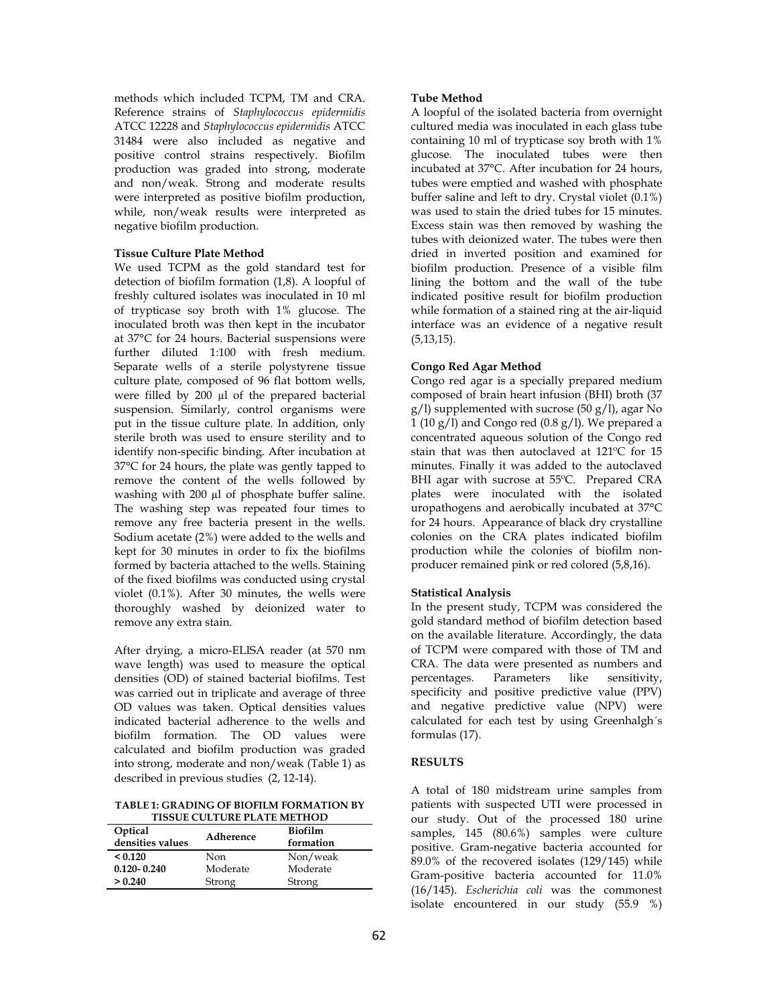methods which included TCPM, TM and CRA. Reference strains of *Staphylococcus epidermidis*  ATCC 12228 and *Staphylococcus epidermidis* ATCC 31484 were also included as negative and positive control strains respectively. Biofilm production was graded into strong, moderate and non/weak. Strong and moderate results were interpreted as positive biofilm production, while, non/weak results were interpreted as negative biofilm production.

## **Tissue Culture Plate Method**

We used TCPM as the gold standard test for detection of biofilm formation (1,8). A loopful of freshly cultured isolates was inoculated in 10 ml of trypticase soy broth with 1% glucose. The inoculated broth was then kept in the incubator at 37°C for 24 hours. Bacterial suspensions were further diluted 1:100 with fresh medium. Separate wells of a sterile polystyrene tissue culture plate, composed of 96 flat bottom wells, were filled by 200 µl of the prepared bacterial suspension. Similarly, control organisms were put in the tissue culture plate. In addition, only sterile broth was used to ensure sterility and to identify non-specific binding. After incubation at 37°C for 24 hours, the plate was gently tapped to remove the content of the wells followed by washing with 200 µl of phosphate buffer saline. The washing step was repeated four times to remove any free bacteria present in the wells. Sodium acetate (2%) were added to the wells and kept for 30 minutes in order to fix the biofilms formed by bacteria attached to the wells. Staining of the fixed biofilms was conducted using crystal violet (0.1%). After 30 minutes, the wells were thoroughly washed by deionized water to remove any extra stain.

After drying, a micro-ELISA reader (at 570 nm wave length) was used to measure the optical densities (OD) of stained bacterial biofilms. Test was carried out in triplicate and average of three OD values was taken. Optical densities values indicated bacterial adherence to the wells and biofilm formation. The OD values were calculated and biofilm production was graded into strong, moderate and non/weak (Table 1) as described in previous studies (2, 12-14).

**TABLE 1: GRADING OF BIOFILM FORMATION BY TISSUE CULTURE PLATE METHOD**

| Optical<br>densities values | Adherence | <b>Biofilm</b><br>formation |
|-----------------------------|-----------|-----------------------------|
| < 0.120                     | Non       | Non/weak                    |
| $0.120 - 0.240$             | Moderate  | Moderate                    |
| > 0.240                     | Strong    | Strong                      |

## **Tube Method**

A loopful of the isolated bacteria from overnight cultured media was inoculated in each glass tube containing 10 ml of trypticase soy broth with 1% glucose. The inoculated tubes were then incubated at 37°C. After incubation for 24 hours, tubes were emptied and washed with phosphate buffer saline and left to dry. Crystal violet (0.1%) was used to stain the dried tubes for 15 minutes. Excess stain was then removed by washing the tubes with deionized water. The tubes were then dried in inverted position and examined for biofilm production. Presence of a visible film lining the bottom and the wall of the tube indicated positive result for biofilm production while formation of a stained ring at the air-liquid interface was an evidence of a negative result (5,13,15).

## **Congo Red Agar Method**

Congo red agar is a specially prepared medium composed of brain heart infusion (BHI) broth (37  $g(1)$  supplemented with sucrose (50  $g(1)$ , agar No  $1(10 g/l)$  and Congo red  $(0.8 g/l)$ . We prepared a concentrated aqueous solution of the Congo red stain that was then autoclaved at 121ºC for 15 minutes. Finally it was added to the autoclaved BHI agar with sucrose at 55ºC. Prepared CRA plates were inoculated with the isolated uropathogens and aerobically incubated at 37°C for 24 hours. Appearance of black dry crystalline colonies on the CRA plates indicated biofilm production while the colonies of biofilm nonproducer remained pink or red colored (5,8,16).

## **Statistical Analysis**

In the present study, TCPM was considered the gold standard method of biofilm detection based on the available literature. Accordingly, the data of TCPM were compared with those of TM and CRA. The data were presented as numbers and percentages. Parameters like sensitivity, percentages. Parameters like sensitivity, specificity and positive predictive value (PPV) and negative predictive value (NPV) were calculated for each test by using Greenhalgh´s formulas (17).

## **RESULTS**

A total of 180 midstream urine samples from patients with suspected UTI were processed in our study. Out of the processed 180 urine samples, 145 (80.6%) samples were culture positive. Gram-negative bacteria accounted for 89.0% of the recovered isolates (129/145) while Gram-positive bacteria accounted for 11.0% (16/145). *Escherichia coli* was the commonest isolate encountered in our study (55.9 %)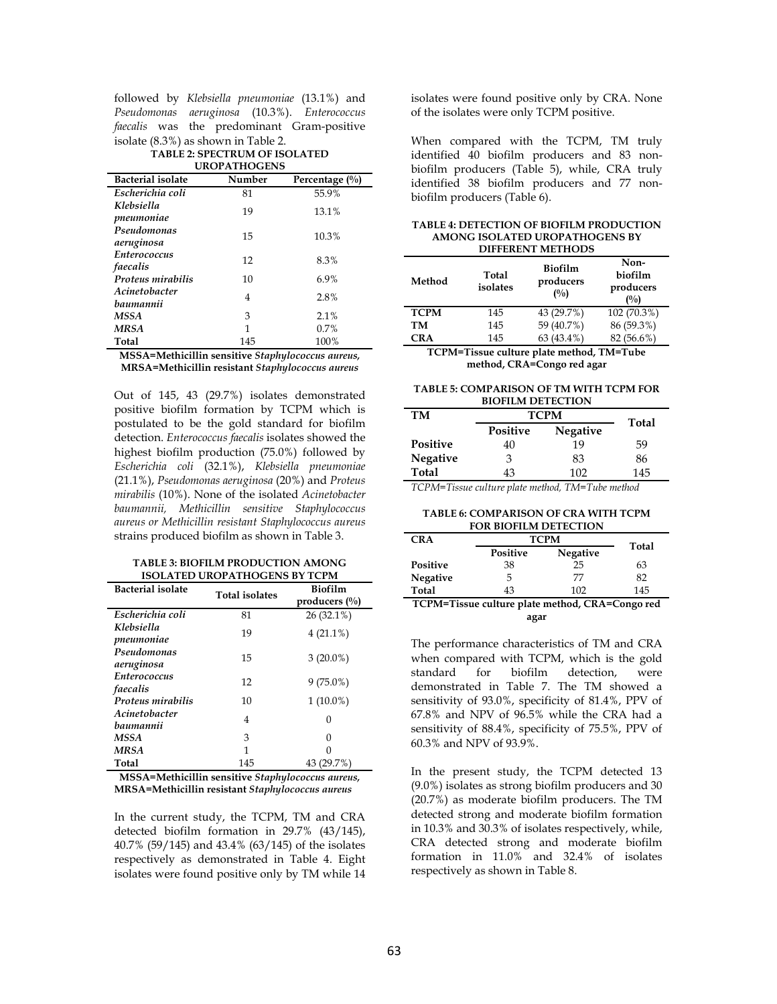followed by *Klebsiella pneumoniae* (13.1%) and *Pseudomonas aeruginosa* (10.3%). *Enterococcus faecalis* was the predominant Gram-positive isolate (8.3%) as shown in Table 2.

#### **TABLE 2: SPECTRUM OF ISOLATED UROPATHOGENS**

| <b>Bacterial isolate</b>          | Number | Percentage $(\%)$ |
|-----------------------------------|--------|-------------------|
| Escherichia coli                  | 81     | 55.9%             |
| Klebsiella<br>pneumoniae          | 19     | 13.1%             |
| Pseudomonas<br>aeruginosa         | 15     | 10.3%             |
| <b>Enterococcus</b><br>faecalis   | 12     | 8.3%              |
| Proteus mirabilis                 | 10     | 6.9%              |
| <i>Acinetobacter</i><br>baumannii | 4      | 2.8%              |
| MSSA                              | 3      | 2.1%              |
| <b>MRSA</b>                       | 1      | 0.7%              |
| Total                             | 145    | 100%              |

**MSSA=Methicillin sensitive** *Staphylococcus aureus,*  **MRSA=Methicillin resistant** *Staphylococcus aureus*

Out of 145, 43 (29.7%) isolates demonstrated positive biofilm formation by TCPM which is postulated to be the gold standard for biofilm detection. *Enterococcus faecalis* isolates showed the highest biofilm production (75.0%) followed by *Escherichia coli* (32.1%), *Klebsiella pneumoniae*  (21.1%), *Pseudomonas aeruginosa* (20%) and *Proteus mirabilis* (10%). None of the isolated *Acinetobacter baumannii, Methicillin sensitive Staphylococcus aureus or Methicillin resistant Staphylococcus aureus*  strains produced biofilm as shown in Table 3.

#### **TABLE 3: BIOFILM PRODUCTION AMONG ISOLATED UROPATHOGENS BY TCPM**

| <b>Bacterial isolate</b>          | <b>Total isolates</b> | <b>Biofilm</b><br>producers $(\%$ |  |
|-----------------------------------|-----------------------|-----------------------------------|--|
| Escherichia coli                  | 81                    | 26 (32.1%)                        |  |
| Klebsiella<br>pneumoniae          | 19                    | $4(21.1\%)$                       |  |
| Pseudomonas<br>aeruginosa         | 15                    | $3(20.0\%)$                       |  |
| <b>Enterococcus</b><br>faecalis   | 12                    | $9(75.0\%)$                       |  |
| Proteus mirabilis                 | 10                    | $1(10.0\%)$                       |  |
| <i>Acinetobacter</i><br>baumannii | 4                     | $\Omega$                          |  |
| <b>MSSA</b>                       | 3                     | $\Omega$                          |  |
| <b>MRSA</b>                       | 1                     |                                   |  |
| Total                             | 145                   | 43 (29.7%)                        |  |

**MSSA=Methicillin sensitive** *Staphylococcus aureus,*  **MRSA=Methicillin resistant** *Staphylococcus aureus*

In the current study, the TCPM, TM and CRA detected biofilm formation in 29.7% (43/145), 40.7% (59/145) and 43.4% (63/145) of the isolates respectively as demonstrated in Table 4. Eight isolates were found positive only by TM while 14 isolates were found positive only by CRA. None of the isolates were only TCPM positive.

When compared with the TCPM, TM truly identified 40 biofilm producers and 83 nonbiofilm producers (Table 5), while, CRA truly identified 38 biofilm producers and 77 nonbiofilm producers (Table 6).

| <b>TABLE 4: DETECTION OF BIOFILM PRODUCTION</b> |
|-------------------------------------------------|
| AMONG ISOLATED UROPATHOGENS BY                  |
| <b>DIFFERENT METHODS</b>                        |

| Method             | Total<br>isolates | <b>Biofilm</b><br>producers<br>$($ %) | Non-<br>biofilm<br>producers<br>$($ %) |
|--------------------|-------------------|---------------------------------------|----------------------------------------|
| <b>TCPM</b>        | 145               | 43 (29.7%)                            | 102 (70.3%)                            |
| TM                 | 145               | 59 (40.7%)                            | 86 (59.3%)                             |
| CRA                | 145               | 63 (43.4%)                            | 82 (56.6%)                             |
| $\sim$<br><b>.</b> | ۰.                | - 70<br>. .                           |                                        |

**TCPM=Tissue culture plate method, TM=Tube method, CRA=Congo red agar**

**TABLE 5: COMPARISON OF TM WITH TCPM FOR BIOFILM DETECTION** 

| TM              | <b>TCPM</b>     | Total    |     |
|-----------------|-----------------|----------|-----|
|                 | <b>Positive</b> | Negative |     |
| <b>Positive</b> | 40              | 19       | 59  |
| <b>Negative</b> | 3               | 83       | 86  |
| Total           | 43              | 102      | 145 |

*TCPM=Tissue culture plate method, TM=Tube method* 

**TABLE 6: COMPARISON OF CRA WITH TCPM FOR BIOFILM DETECTION** 

| <b>CRA</b>                                      | <b>TCPM</b> |          | Total |
|-------------------------------------------------|-------------|----------|-------|
|                                                 | Positive    | Negative |       |
| Positive                                        | 38          | 25       | 63    |
| Negative                                        | 5           | 77       | 82    |
| Total                                           | 43          | 102      | 145   |
| TCPM=Tissue culture plate method, CRA=Congo red |             |          |       |
| agar                                            |             |          |       |

The performance characteristics of TM and CRA when compared with TCPM, which is the gold standard for biofilm detection, were demonstrated in Table 7. The TM showed a sensitivity of 93.0%, specificity of 81.4%, PPV of 67.8% and NPV of 96.5% while the CRA had a sensitivity of 88.4%, specificity of 75.5%, PPV of 60.3% and NPV of 93.9%.

In the present study, the TCPM detected 13 (9.0%) isolates as strong biofilm producers and 30 (20.7%) as moderate biofilm producers. The TM detected strong and moderate biofilm formation in 10.3% and 30.3% of isolates respectively, while, CRA detected strong and moderate biofilm formation in 11.0% and 32.4% of isolates respectively as shown in Table 8.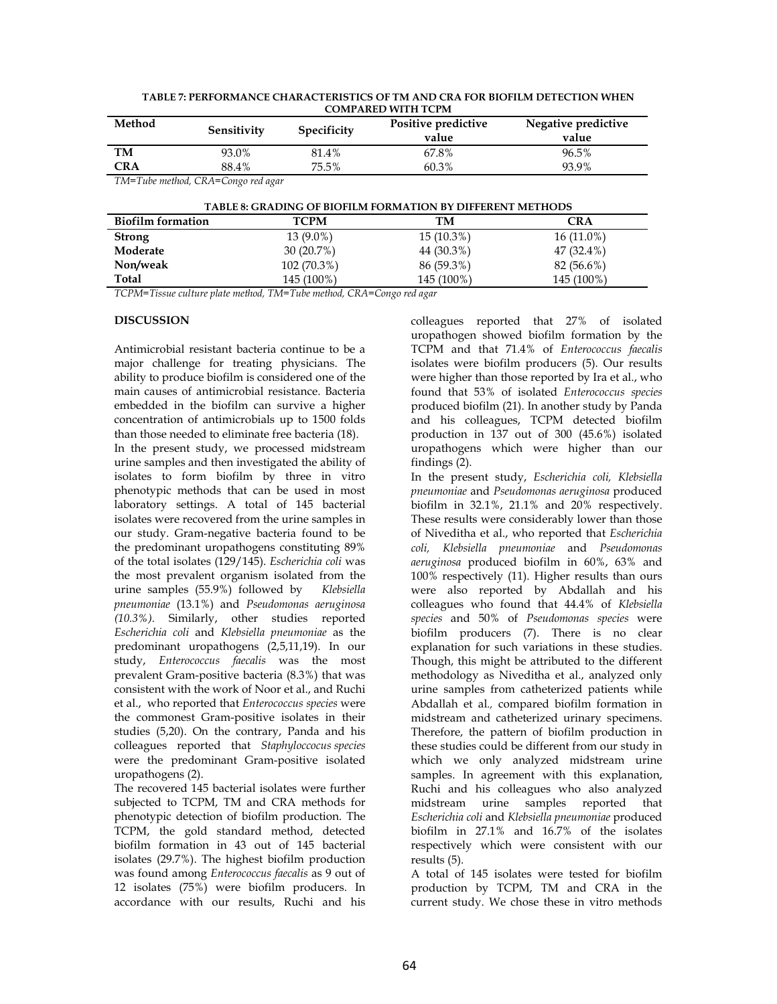| Method                                                            | Sensitivity | <b>Specificity</b> | Positive predictive<br>value | Negative predictive<br>value |  |  |
|-------------------------------------------------------------------|-------------|--------------------|------------------------------|------------------------------|--|--|
| TM                                                                | 93.0%       | 81.4%              | 67.8%                        | 96.5%                        |  |  |
| <b>CRA</b>                                                        | 88.4%       | 75.5%              | 60.3%                        | 93.9%                        |  |  |
| TM=Tube method, CRA=Congo red agar                                |             |                    |                              |                              |  |  |
| <b>TABLE 8: GRADING OF BIOFILM FORMATION BY DIFFERENT METHODS</b> |             |                    |                              |                              |  |  |
| <b>Biofilm formation</b>                                          |             | <b>TCPM</b>        | TМ                           | <b>CRA</b>                   |  |  |
| <b>Strong</b>                                                     |             | 13 (9.0%)          | $15(10.3\%)$                 | $16(11.0\%)$                 |  |  |
| Moderate                                                          |             | 30 (20.7%)         | 44 (30.3%)                   | 47 (32.4%)                   |  |  |
| Non/weak                                                          |             | 102 (70.3%)        | 86 (59.3%)                   | 82 (56.6%)                   |  |  |
| Total                                                             |             | 145 (100%)         | 145 (100%)                   | 145 (100%)                   |  |  |

**TABLE 7: PERFORMANCE CHARACTERISTICS OF TM AND CRA FOR BIOFILM DETECTION WHEN COMPARED WITH TCPM**

*TCPM=Tissue culture plate method, TM=Tube method, CRA=Congo red agar* 

## **DISCUSSION**

Antimicrobial resistant bacteria continue to be a major challenge for treating physicians. The ability to produce biofilm is considered one of the main causes of antimicrobial resistance. Bacteria embedded in the biofilm can survive a higher concentration of antimicrobials up to 1500 folds than those needed to eliminate free bacteria (18).

In the present study, we processed midstream urine samples and then investigated the ability of isolates to form biofilm by three in vitro phenotypic methods that can be used in most laboratory settings. A total of 145 bacterial isolates were recovered from the urine samples in our study. Gram-negative bacteria found to be the predominant uropathogens constituting 89% of the total isolates (129/145). *Escherichia coli* was the most prevalent organism isolated from the urine samples (55.9%) followed by *Klebsiella pneumoniae* (13.1%) and *Pseudomonas aeruginosa (10.3%).* Similarly, other studies reported *Escherichia coli* and *Klebsiella pneumoniae* as the predominant uropathogens (2,5,11,19). In our study, *Enterococcus faecalis* was the most prevalent Gram-positive bacteria (8.3%) that was consistent with the work of Noor et al., and Ruchi et al., who reported that *Enterococcus species* were the commonest Gram-positive isolates in their studies (5,20). On the contrary, Panda and his colleagues reported that *Staphyloccocus species* were the predominant Gram-positive isolated uropathogens (2).

The recovered 145 bacterial isolates were further subjected to TCPM, TM and CRA methods for phenotypic detection of biofilm production. The TCPM, the gold standard method, detected biofilm formation in 43 out of 145 bacterial isolates (29.7%). The highest biofilm production was found among *Enterococcus faecalis* as 9 out of 12 isolates (75%) were biofilm producers. In accordance with our results, Ruchi and his

colleagues reported that 27% of isolated uropathogen showed biofilm formation by the TCPM and that 71.4% of *Enterococcus faecalis*  isolates were biofilm producers (5). Our results were higher than those reported by Ira et al., who found that 53% of isolated *Enterococcus species*  produced biofilm (21). In another study by Panda and his colleagues, TCPM detected biofilm production in 137 out of 300 (45.6%) isolated uropathogens which were higher than our findings (2).

In the present study, *Escherichia coli, Klebsiella pneumoniae* and *Pseudomonas aeruginosa* produced biofilm in 32.1%, 21.1% and 20% respectively. These results were considerably lower than those of Niveditha et al., who reported that *Escherichia coli, Klebsiella pneumoniae* and *Pseudomonas aeruginosa* produced biofilm in 60%, 63% and 100% respectively (11). Higher results than ours were also reported by Abdallah and his colleagues who found that 44.4% of *Klebsiella species* and 50% of *Pseudomonas species* were biofilm producers (7). There is no clear explanation for such variations in these studies. Though, this might be attributed to the different methodology as Niveditha et al., analyzed only urine samples from catheterized patients while Abdallah et al*.,* compared biofilm formation in midstream and catheterized urinary specimens. Therefore, the pattern of biofilm production in these studies could be different from our study in which we only analyzed midstream urine samples. In agreement with this explanation, Ruchi and his colleagues who also analyzed midstream urine samples reported that *Escherichia coli* and *Klebsiella pneumoniae* produced biofilm in 27.1% and 16.7% of the isolates respectively which were consistent with our results (5).

A total of 145 isolates were tested for biofilm production by TCPM, TM and CRA in the current study. We chose these in vitro methods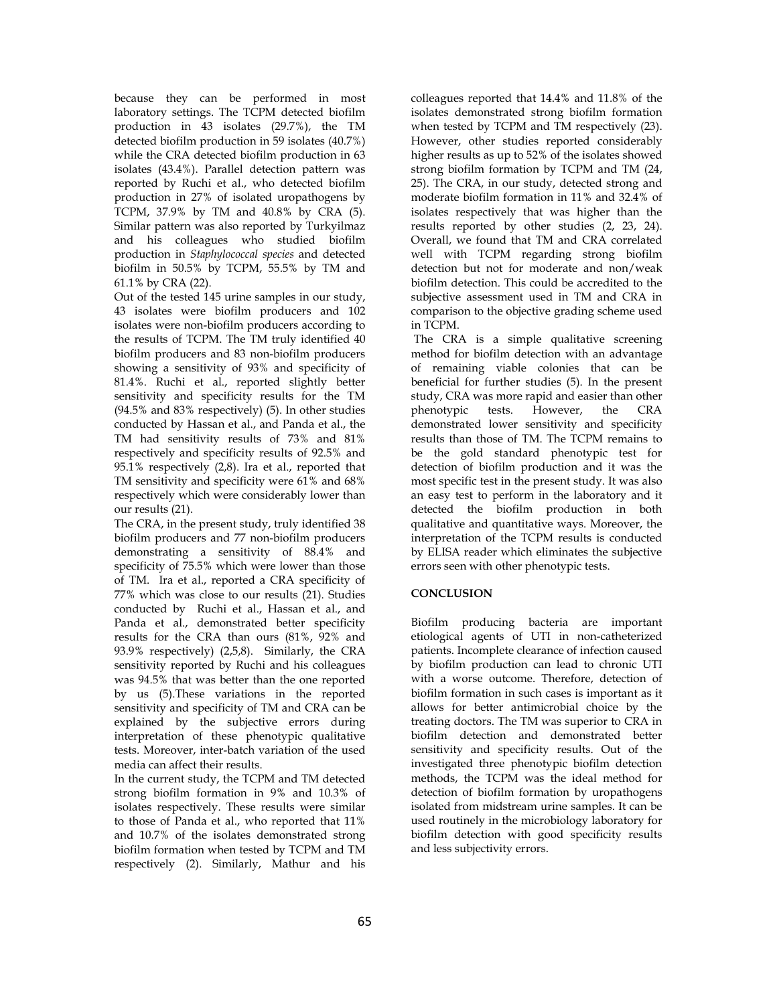because they can be performed in most laboratory settings. The TCPM detected biofilm production in 43 isolates (29.7%), the TM detected biofilm production in 59 isolates (40.7%) while the CRA detected biofilm production in 63 isolates (43.4%). Parallel detection pattern was reported by Ruchi et al., who detected biofilm production in 27% of isolated uropathogens by TCPM, 37.9% by TM and 40.8% by CRA (5). Similar pattern was also reported by Turkyilmaz and his colleagues who studied biofilm production in *Staphylococcal species* and detected biofilm in 50.5% by TCPM, 55.5% by TM and 61.1% by CRA (22).

Out of the tested 145 urine samples in our study, 43 isolates were biofilm producers and 102 isolates were non-biofilm producers according to the results of TCPM. The TM truly identified 40 biofilm producers and 83 non-biofilm producers showing a sensitivity of 93% and specificity of 81.4%. Ruchi et al., reported slightly better sensitivity and specificity results for the TM (94.5% and 83% respectively) (5). In other studies conducted by Hassan et al., and Panda et al., the TM had sensitivity results of 73% and 81% respectively and specificity results of 92.5% and 95.1% respectively (2,8). Ira et al., reported that TM sensitivity and specificity were 61% and 68% respectively which were considerably lower than our results (21).

The CRA, in the present study, truly identified 38 biofilm producers and 77 non-biofilm producers demonstrating a sensitivity of 88.4% and specificity of 75.5% which were lower than those of TM. Ira et al., reported a CRA specificity of 77% which was close to our results (21). Studies conducted by Ruchi et al., Hassan et al., and Panda et al., demonstrated better specificity results for the CRA than ours (81%, 92% and 93.9% respectively) (2,5,8). Similarly, the CRA sensitivity reported by Ruchi and his colleagues was 94.5% that was better than the one reported by us (5).These variations in the reported sensitivity and specificity of TM and CRA can be explained by the subjective errors during interpretation of these phenotypic qualitative tests. Moreover, inter-batch variation of the used media can affect their results.

In the current study, the TCPM and TM detected strong biofilm formation in 9% and 10.3% of isolates respectively. These results were similar to those of Panda et al., who reported that 11% and 10.7% of the isolates demonstrated strong biofilm formation when tested by TCPM and TM respectively (2). Similarly, Mathur and his

colleagues reported that 14.4% and 11.8% of the isolates demonstrated strong biofilm formation when tested by TCPM and TM respectively (23). However, other studies reported considerably higher results as up to 52% of the isolates showed strong biofilm formation by TCPM and TM (24, 25). The CRA, in our study, detected strong and moderate biofilm formation in 11% and 32.4% of isolates respectively that was higher than the results reported by other studies (2, 23, 24). Overall, we found that TM and CRA correlated well with TCPM regarding strong biofilm detection but not for moderate and non/weak biofilm detection. This could be accredited to the subjective assessment used in TM and CRA in comparison to the objective grading scheme used in TCPM.

 The CRA is a simple qualitative screening method for biofilm detection with an advantage of remaining viable colonies that can be beneficial for further studies (5). In the present study, CRA was more rapid and easier than other phenotypic tests. However, the CRA demonstrated lower sensitivity and specificity results than those of TM. The TCPM remains to be the gold standard phenotypic test for detection of biofilm production and it was the most specific test in the present study. It was also an easy test to perform in the laboratory and it detected the biofilm production in both qualitative and quantitative ways. Moreover, the interpretation of the TCPM results is conducted by ELISA reader which eliminates the subjective errors seen with other phenotypic tests.

# **CONCLUSION**

Biofilm producing bacteria are important etiological agents of UTI in non-catheterized patients. Incomplete clearance of infection caused by biofilm production can lead to chronic UTI with a worse outcome. Therefore, detection of biofilm formation in such cases is important as it allows for better antimicrobial choice by the treating doctors. The TM was superior to CRA in biofilm detection and demonstrated better sensitivity and specificity results. Out of the investigated three phenotypic biofilm detection methods, the TCPM was the ideal method for detection of biofilm formation by uropathogens isolated from midstream urine samples. It can be used routinely in the microbiology laboratory for biofilm detection with good specificity results and less subjectivity errors.